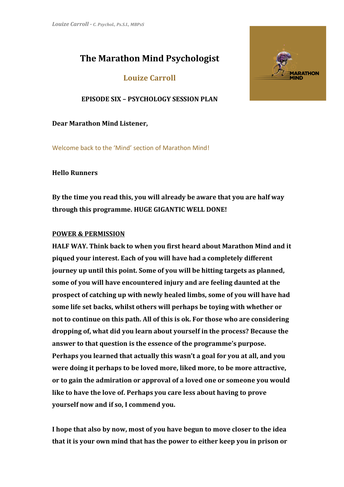# **The Marathon Mind Psychologist**

**Louize Carroll**

**EPISODE SIX – PSYCHOLOGY SESSION PLAN**

**Dear Marathon Mind Listener,**

Welcome back to the 'Mind' section of Marathon Mind!

**Hello Runners**

**By the time you read this, you will already be aware that you are half way through this programme. HUGE GIGANTIC WELL DONE!**

## **POWER & PERMISSION**

**HALF WAY. Think back to when you first heard about Marathon Mind and it piqued your interest. Each of you will have had a completely different journey up until this point. Some of you will be hitting targets as planned, some of you will have encountered injury and are feeling daunted at the prospect of catching up with newly healed limbs, some of you will have had some life set backs, whilst others will perhaps be toying with whether or not to continue on this path. All of this is ok. For those who are considering dropping of, what did you learn about yourself in the process? Because the answer to that question is the essence of the programme's purpose. Perhaps you learned that actually this wasn't a goal for you at all, and you were doing it perhaps to be loved more, liked more, to be more attractive, or to gain the admiration or approval of a loved one or someone you would like to have the love of. Perhaps you care less about having to prove yourself now and if so, I commend you.** 

**I hope that also by now, most of you have begun to move closer to the idea that it is your own mind that has the power to either keep you in prison or**

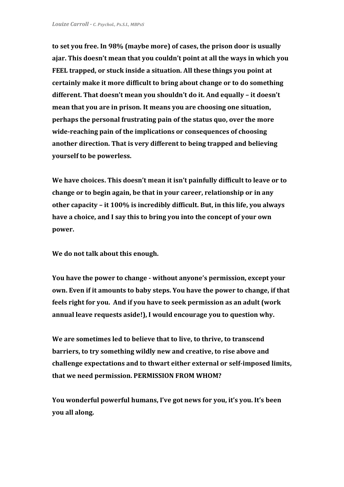**to set you free. In 98% (maybe more) of cases, the prison door is usually ajar. This doesn't mean that you couldn't point at all the ways in which you FEEL trapped, or stuck inside a situation. All these things you point at certainly make it more difficult to bring about change or to do something different. That doesn't mean you shouldn't do it. And equally – it doesn't mean that you are in prison. It means you are choosing one situation, perhaps the personal frustrating pain of the status quo, over the more wide-reaching pain of the implications or consequences of choosing another direction. That is very different to being trapped and believing yourself to be powerless.**

**We have choices. This doesn't mean it isn't painfully difficult to leave or to change or to begin again, be that in your career, relationship or in any other capacity – it 100% is incredibly difficult. But, in this life, you always have a choice, and I say this to bring you into the concept of your own power.**

**We do not talk about this enough.**

**You have the power to change - without anyone's permission, except your own. Even if it amounts to baby steps. You have the power to change, if that feels right for you. And if you have to seek permission as an adult (work annual leave requests aside!), I would encourage you to question why.**

**We are sometimes led to believe that to live, to thrive, to transcend barriers, to try something wildly new and creative, to rise above and challenge expectations and to thwart either external or self-imposed limits, that we need permission. PERMISSION FROM WHOM?**

**You wonderful powerful humans, I've got news for you, it's you. It's been you all along.**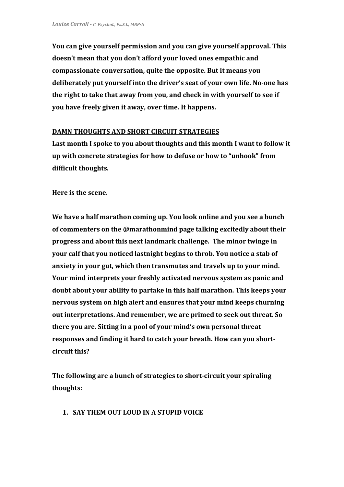**You can give yourself permission and you can give yourself approval. This doesn't mean that you don't afford your loved ones empathic and compassionate conversation, quite the opposite. But it means you deliberately put yourself into the driver's seat of your own life. No-one has the right to take that away from you, and check in with yourself to see if you have freely given it away, over time. It happens.**

#### **DAMN THOUGHTS AND SHORT CIRCUIT STRATEGIES**

**Last month I spoke to you about thoughts and this month I want to follow it up with concrete strategies for how to defuse or how to "unhook" from difficult thoughts.**

**Here is the scene.**

**We have a half marathon coming up. You look online and you see a bunch of commenters on the @marathonmind page talking excitedly about their progress and about this next landmark challenge. The minor twinge in your calf that you noticed lastnight begins to throb. You notice a stab of anxiety in your gut, which then transmutes and travels up to your mind. Your mind interprets your freshly activated nervous system as panic and doubt about your ability to partake in this half marathon. This keeps your nervous system on high alert and ensures that your mind keeps churning out interpretations. And remember, we are primed to seek out threat. So there you are. Sitting in a pool of your mind's own personal threat responses and finding it hard to catch your breath. How can you shortcircuit this?**

**The following are a bunch of strategies to short-circuit your spiraling thoughts:**

**1. SAY THEM OUT LOUD IN A STUPID VOICE**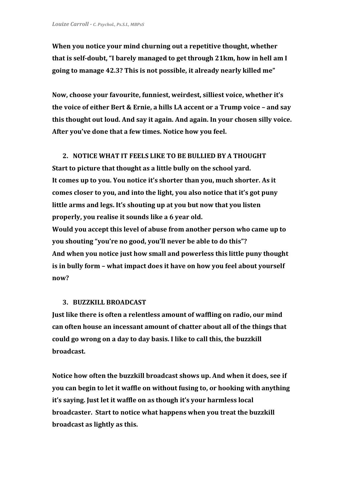**When you notice your mind churning out a repetitive thought, whether that is self-doubt, "I barely managed to get through 21km, how in hell am I going to manage 42.3? This is not possible, it already nearly killed me"**

**Now, choose your favourite, funniest, weirdest, silliest voice, whether it's the voice of either Bert & Ernie, a hills LA accent or a Trump voice – and say this thought out loud. And say it again. And again. In your chosen silly voice. After you've done that a few times. Notice how you feel.**

#### **2. NOTICE WHAT IT FEELS LIKE TO BE BULLIED BY A THOUGHT**

**Start to picture that thought as a little bully on the school yard. It comes up to you. You notice it's shorter than you, much shorter. As it comes closer to you, and into the light, you also notice that it's got puny little arms and legs. It's shouting up at you but now that you listen properly, you realise it sounds like a 6 year old.**

**Would you accept this level of abuse from another person who came up to you shouting "you're no good, you'll never be able to do this"? And when you notice just how small and powerless this little puny thought is in bully form – what impact does it have on how you feel about yourself now?**

#### **3. BUZZKILL BROADCAST**

**Just like there is often a relentless amount of waffling on radio, our mind can often house an incessant amount of chatter about all of the things that could go wrong on a day to day basis. I like to call this, the buzzkill broadcast.**

**Notice how often the buzzkill broadcast shows up. And when it does, see if you can begin to let it waffle on without fusing to, or hooking with anything it's saying. Just let it waffle on as though it's your harmless local broadcaster. Start to notice what happens when you treat the buzzkill broadcast as lightly as this.**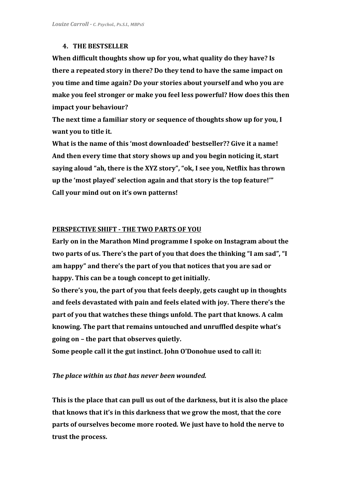# **4. THE BESTSELLER**

**When difficult thoughts show up for you, what quality do they have? Is there a repeated story in there? Do they tend to have the same impact on you time and time again? Do your stories about yourself and who you are make you feel stronger or make you feel less powerful? How does this then impact your behaviour?**

**The next time a familiar story or sequence of thoughts show up for you, I want you to title it.**

**What is the name of this 'most downloaded' bestseller?? Give it a name! And then every time that story shows up and you begin noticing it, start saying aloud "ah, there is the XYZ story", "ok, I see you, Netflix has thrown up the 'most played' selection again and that story is the top feature!'" Call your mind out on it's own patterns!**

#### **PERSPECTIVE SHIFT - THE TWO PARTS OF YOU**

**Early on in the Marathon Mind programme I spoke on Instagram about the two parts of us. There's the part of you that does the thinking "I am sad", "I am happy" and there's the part of you that notices that you are sad or happy. This can be a tough concept to get initially.**

**So there's you, the part of you that feels deeply, gets caught up in thoughts and feels devastated with pain and feels elated with joy. There there's the part of you that watches these things unfold. The part that knows. A calm knowing. The part that remains untouched and unruffled despite what's going on – the part that observes quietly.**

**Some people call it the gut instinct. John O'Donohue used to call it:**

## *The place within us that has never been wounded.*

**This is the place that can pull us out of the darkness, but it is also the place that knows that it's in this darkness that we grow the most, that the core parts of ourselves become more rooted. We just have to hold the nerve to trust the process.**